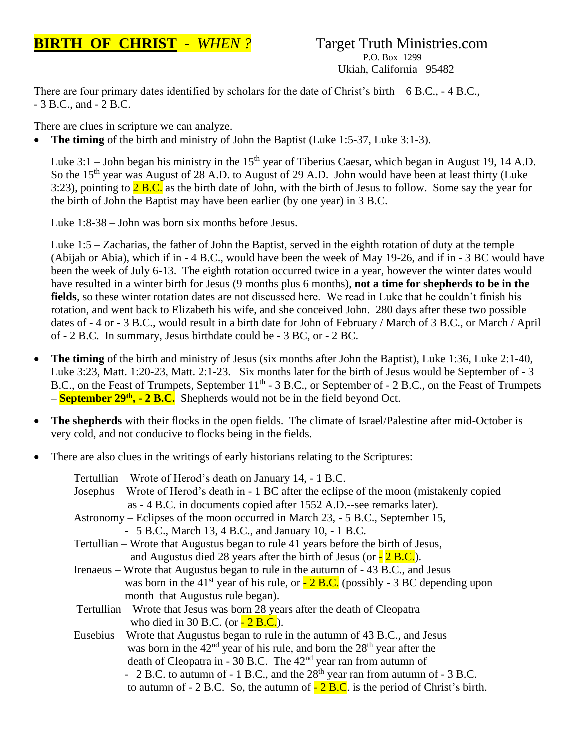## **BIRTH OF CHRIST** - WHEN ? Target Truth Ministries.com

## P.O. Box 1299 Ukiah, California 95482

There are four primary dates identified by scholars for the date of Christ's birth  $-6$  B.C.,  $-4$  B.C., - 3 B.C., and - 2 B.C.

There are clues in scripture we can analyze.

• **The timing** of the birth and ministry of John the Baptist (Luke 1:5-37, Luke 3:1-3).

Luke 3:1 – John began his ministry in the 15<sup>th</sup> year of Tiberius Caesar, which began in August 19, 14 A.D. So the 15<sup>th</sup> year was August of 28 A.D. to August of 29 A.D. John would have been at least thirty (Luke 3:23), pointing to  $2 B.C.$  as the birth date of John, with the birth of Jesus to follow. Some say the year for the birth of John the Baptist may have been earlier (by one year) in 3 B.C.

Luke 1:8-38 – John was born six months before Jesus.

Luke 1:5 – Zacharias, the father of John the Baptist, served in the eighth rotation of duty at the temple (Abijah or Abia), which if in - 4 B.C., would have been the week of May 19-26, and if in - 3 BC would have been the week of July 6-13. The eighth rotation occurred twice in a year, however the winter dates would have resulted in a winter birth for Jesus (9 months plus 6 months), **not a time for shepherds to be in the fields**, so these winter rotation dates are not discussed here. We read in Luke that he couldn't finish his rotation, and went back to Elizabeth his wife, and she conceived John. 280 days after these two possible dates of - 4 or - 3 B.C., would result in a birth date for John of February / March of 3 B.C., or March / April of - 2 B.C. In summary, Jesus birthdate could be - 3 BC, or - 2 BC.

- **The timing** of the birth and ministry of Jesus (six months after John the Baptist), Luke 1:36, Luke 2:1-40, Luke 3:23, Matt. 1:20-23, Matt. 2:1-23. Six months later for the birth of Jesus would be September of - 3 B.C., on the Feast of Trumpets, September 11<sup>th</sup> - 3 B.C., or September of - 2 B.C., on the Feast of Trumpets **– September 29th , - 2 B.C.** Shepherds would not be in the field beyond Oct.
- **The shepherds** with their flocks in the open fields. The climate of Israel/Palestine after mid-October is very cold, and not conducive to flocks being in the fields.
- There are also clues in the writings of early historians relating to the Scriptures:

|                                                                                                                                                                                                                                                                                                                                                                                                                                                                                                 | Tertullian – Wrote of Herod's death on January 14, - 1 B.C.                                                     |  |
|-------------------------------------------------------------------------------------------------------------------------------------------------------------------------------------------------------------------------------------------------------------------------------------------------------------------------------------------------------------------------------------------------------------------------------------------------------------------------------------------------|-----------------------------------------------------------------------------------------------------------------|--|
|                                                                                                                                                                                                                                                                                                                                                                                                                                                                                                 | Josephus – Wrote of Herod's death in - 1 BC after the eclipse of the moon (mistakenly copied                    |  |
|                                                                                                                                                                                                                                                                                                                                                                                                                                                                                                 | as - 4 B.C. in documents copied after 1552 A.D.-see remarks later).                                             |  |
|                                                                                                                                                                                                                                                                                                                                                                                                                                                                                                 | Astronomy – Eclipses of the moon occurred in March 23, - 5 B.C., September 15,                                  |  |
|                                                                                                                                                                                                                                                                                                                                                                                                                                                                                                 | - 5 B.C., March 13, 4 B.C., and January 10, -1 B.C.                                                             |  |
|                                                                                                                                                                                                                                                                                                                                                                                                                                                                                                 | Tertullian – Wrote that Augustus began to rule 41 years before the birth of Jesus,                              |  |
|                                                                                                                                                                                                                                                                                                                                                                                                                                                                                                 | and Augustus died 28 years after the birth of Jesus (or $\frac{1}{2}$ B.C.).                                    |  |
|                                                                                                                                                                                                                                                                                                                                                                                                                                                                                                 | Irenaeus – Wrote that Augustus began to rule in the autumn of -43 B.C., and Jesus                               |  |
|                                                                                                                                                                                                                                                                                                                                                                                                                                                                                                 | was born in the 41 <sup>st</sup> year of his rule, or $\frac{1}{2}$ <b>B.C.</b> (possibly - 3 BC depending upon |  |
|                                                                                                                                                                                                                                                                                                                                                                                                                                                                                                 | month that Augustus rule began).                                                                                |  |
|                                                                                                                                                                                                                                                                                                                                                                                                                                                                                                 |                                                                                                                 |  |
|                                                                                                                                                                                                                                                                                                                                                                                                                                                                                                 | who died in 30 B.C. (or $-2$ B.C.).                                                                             |  |
|                                                                                                                                                                                                                                                                                                                                                                                                                                                                                                 |                                                                                                                 |  |
|                                                                                                                                                                                                                                                                                                                                                                                                                                                                                                 |                                                                                                                 |  |
|                                                                                                                                                                                                                                                                                                                                                                                                                                                                                                 |                                                                                                                 |  |
|                                                                                                                                                                                                                                                                                                                                                                                                                                                                                                 |                                                                                                                 |  |
| Tertullian – Wrote that Jesus was born 28 years after the death of Cleopatra<br>Eusebius – Wrote that Augustus began to rule in the autumn of 43 B.C., and Jesus<br>was born in the $42nd$ year of his rule, and born the $28th$ year after the<br>death of Cleopatra in - 30 B.C. The $42nd$ year ran from autumn of<br>- 2 B.C. to autumn of - 1 B.C., and the $28th$ year ran from autumn of - 3 B.C.<br>to autumn of $-2$ B.C. So, the autumn of $-2$ B.C. is the period of Christ's birth. |                                                                                                                 |  |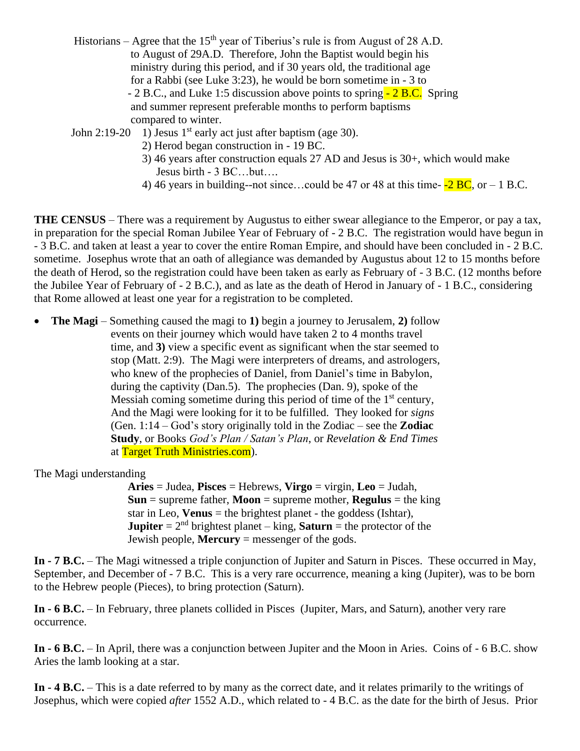| Historians – Agree that the 15 <sup>th</sup> year of Tiberius's rule is from August of 28 A.D. |  |  |  |
|------------------------------------------------------------------------------------------------|--|--|--|
| to August of 29A.D. Therefore, John the Baptist would begin his                                |  |  |  |
| ministry during this period, and if 30 years old, the traditional age                          |  |  |  |
| for a Rabbi (see Luke 3:23), he would be born sometime in - 3 to                               |  |  |  |
| - 2 B.C., and Luke 1:5 discussion above points to spring - 2 B.C. Spring                       |  |  |  |
| and summer represent preferable months to perform baptisms                                     |  |  |  |
| compared to winter.                                                                            |  |  |  |

John 2:19-20 1) Jesus  $1<sup>st</sup>$  early act just after baptism (age 30).

- 2) Herod began construction in 19 BC.
- 3) 46 years after construction equals 27 AD and Jesus is 30+, which would make Jesus birth - 3 BC…but….
- 4) 46 years in building--not since...could be 47 or 48 at this time- $-2 BC$ , or  $-1 BC$ .

**THE CENSUS** – There was a requirement by Augustus to either swear allegiance to the Emperor, or pay a tax, in preparation for the special Roman Jubilee Year of February of - 2 B.C. The registration would have begun in - 3 B.C. and taken at least a year to cover the entire Roman Empire, and should have been concluded in - 2 B.C. sometime. Josephus wrote that an oath of allegiance was demanded by Augustus about 12 to 15 months before the death of Herod, so the registration could have been taken as early as February of - 3 B.C. (12 months before the Jubilee Year of February of - 2 B.C.), and as late as the death of Herod in January of - 1 B.C., considering that Rome allowed at least one year for a registration to be completed.

• **The Magi** – Something caused the magi to **1)** begin a journey to Jerusalem, **2)** follow events on their journey which would have taken 2 to 4 months travel time, and **3)** view a specific event as significant when the star seemed to stop (Matt. 2:9). The Magi were interpreters of dreams, and astrologers, who knew of the prophecies of Daniel, from Daniel's time in Babylon, during the captivity (Dan.5). The prophecies (Dan. 9), spoke of the Messiah coming sometime during this period of time of the  $1<sup>st</sup>$  century, And the Magi were looking for it to be fulfilled. They looked for *signs* (Gen. 1:14 – God's story originally told in the Zodiac – see the **Zodiac Study**, or Books *God's Plan / Satan's Plan*, or *Revelation & End Times* at Target Truth Ministries.com).

The Magi understanding

 **Aries** = Judea, **Pisces** = Hebrews, **Virgo** = virgin, **Leo** = Judah, **Sun** = supreme father, **Moon** = supreme mother, **Regulus** = the king star in Leo, **Venus** = the brightest planet - the goddess (Ishtar), **Jupiter** =  $2<sup>nd</sup>$  brightest planet – king, **Saturn** = the protector of the Jewish people, **Mercury** = messenger of the gods.

**In - 7 B.C.** – The Magi witnessed a triple conjunction of Jupiter and Saturn in Pisces. These occurred in May, September, and December of - 7 B.C. This is a very rare occurrence, meaning a king (Jupiter), was to be born to the Hebrew people (Pieces), to bring protection (Saturn).

**In - 6 B.C.** – In February, three planets collided in Pisces (Jupiter, Mars, and Saturn), another very rare occurrence.

**In - 6 B.C.** – In April, there was a conjunction between Jupiter and the Moon in Aries. Coins of - 6 B.C. show Aries the lamb looking at a star.

**In - 4 B.C.** – This is a date referred to by many as the correct date, and it relates primarily to the writings of Josephus, which were copied *after* 1552 A.D., which related to - 4 B.C. as the date for the birth of Jesus. Prior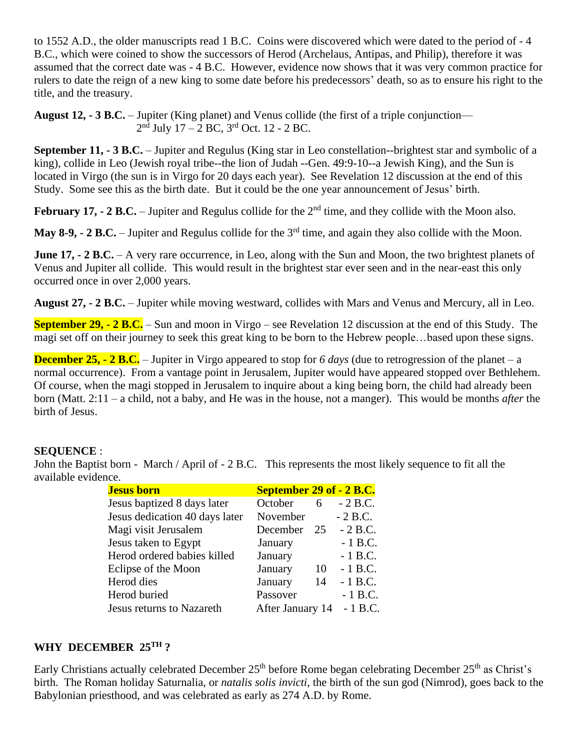to 1552 A.D., the older manuscripts read 1 B.C. Coins were discovered which were dated to the period of - 4 B.C., which were coined to show the successors of Herod (Archelaus, Antipas, and Philip), therefore it was assumed that the correct date was - 4 B.C. However, evidence now shows that it was very common practice for rulers to date the reign of a new king to some date before his predecessors' death, so as to ensure his right to the title, and the treasury.

**August 12, - 3 B.C.** – Jupiter (King planet) and Venus collide (the first of a triple conjunction— 2 nd July 17 – 2 BC, 3<sup>rd</sup> Oct. 12 - 2 BC.

**September 11, - 3 B.C.** – Jupiter and Regulus (King star in Leo constellation--brightest star and symbolic of a king), collide in Leo (Jewish royal tribe--the lion of Judah --Gen. 49:9-10--a Jewish King), and the Sun is located in Virgo (the sun is in Virgo for 20 days each year). See Revelation 12 discussion at the end of this Study. Some see this as the birth date. But it could be the one year announcement of Jesus' birth.

**February 17, - 2 B.C.** – Jupiter and Regulus collide for the  $2<sup>nd</sup>$  time, and they collide with the Moon also.

**May 8-9, - 2 B.C.** – Jupiter and Regulus collide for the 3<sup>rd</sup> time, and again they also collide with the Moon.

**June 17, - 2 B.C.** – A very rare occurrence, in Leo, along with the Sun and Moon, the two brightest planets of Venus and Jupiter all collide. This would result in the brightest star ever seen and in the near-east this only occurred once in over 2,000 years.

**August 27, - 2 B.C.** – Jupiter while moving westward, collides with Mars and Venus and Mercury, all in Leo.

**September 29, - 2 B.C.** – Sun and moon in Virgo – see Revelation 12 discussion at the end of this Study. The magi set off on their journey to seek this great king to be born to the Hebrew people…based upon these signs.

**December 25, - 2 B.C.** – Jupiter in Virgo appeared to stop for *6 days* (due to retrogression of the planet – a normal occurrence). From a vantage point in Jerusalem, Jupiter would have appeared stopped over Bethlehem. Of course, when the magi stopped in Jerusalem to inquire about a king being born, the child had already been born (Matt. 2:11 – a child, not a baby, and He was in the house, not a manger). This would be months *after* the birth of Jesus.

## **SEQUENCE** :

John the Baptist born - March / April of - 2 B.C. This represents the most likely sequence to fit all the available evidence.

| <b>Jesus born</b>              | <b>September 29 of - 2 B.C.</b> |    |           |
|--------------------------------|---------------------------------|----|-----------|
| Jesus baptized 8 days later    | October                         | 6  | $-2 B.C.$ |
| Jesus dedication 40 days later | November                        |    | $-2 B.C.$ |
| Magi visit Jerusalem           | December                        | 25 | $-2 B.C.$ |
| Jesus taken to Egypt           | January                         |    | $-1$ B.C. |
| Herod ordered babies killed    | January                         |    | $-1$ B.C. |
| Eclipse of the Moon            | January                         | 10 | $-1 B.C.$ |
| Herod dies                     | January                         | 14 | $-1$ B.C. |
| Herod buried                   | Passover                        |    | $-1$ B.C. |
| Jesus returns to Nazareth      | After January 14                |    | $-1$ B.C. |

## **WHY DECEMBER 25TH ?**

Early Christians actually celebrated December 25<sup>th</sup> before Rome began celebrating December 25<sup>th</sup> as Christ's birth. The Roman holiday Saturnalia, or *natalis solis invicti*, the birth of the sun god (Nimrod), goes back to the Babylonian priesthood, and was celebrated as early as 274 A.D. by Rome.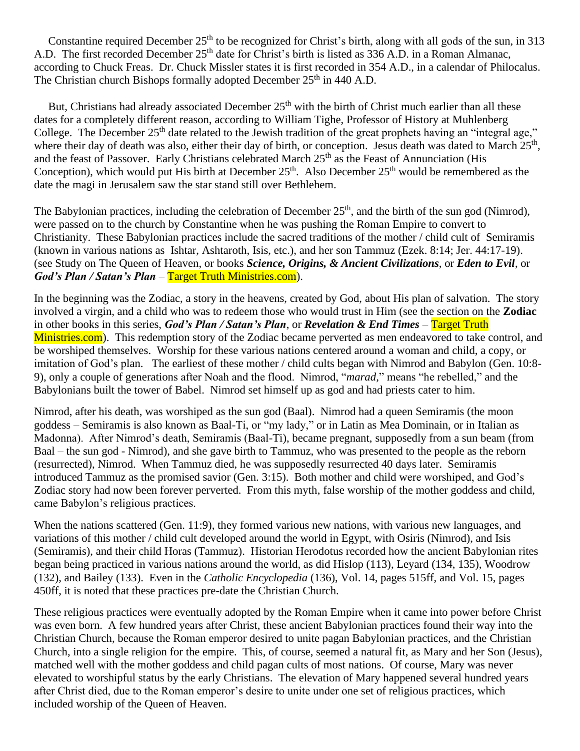Constantine required December 25<sup>th</sup> to be recognized for Christ's birth, along with all gods of the sun, in 313 A.D. The first recorded December 25<sup>th</sup> date for Christ's birth is listed as 336 A.D. in a Roman Almanac, according to Chuck Freas. Dr. Chuck Missler states it is first recorded in 354 A.D., in a calendar of Philocalus. The Christian church Bishops formally adopted December 25<sup>th</sup> in 440 A.D.

But, Christians had already associated December 25<sup>th</sup> with the birth of Christ much earlier than all these dates for a completely different reason, according to William Tighe, Professor of History at Muhlenberg College. The December  $25<sup>th</sup>$  date related to the Jewish tradition of the great prophets having an "integral age," where their day of death was also, either their day of birth, or conception. Jesus death was dated to March 25<sup>th</sup>, and the feast of Passover. Early Christians celebrated March 25<sup>th</sup> as the Feast of Annunciation (His Conception), which would put His birth at December  $25<sup>th</sup>$ . Also December  $25<sup>th</sup>$  would be remembered as the date the magi in Jerusalem saw the star stand still over Bethlehem.

The Babylonian practices, including the celebration of December  $25<sup>th</sup>$ , and the birth of the sun god (Nimrod), were passed on to the church by Constantine when he was pushing the Roman Empire to convert to Christianity. These Babylonian practices include the sacred traditions of the mother / child cult of Semiramis (known in various nations as Ishtar, Ashtaroth, Isis, etc.), and her son Tammuz (Ezek. 8:14; Jer. 44:17-19). (see Study on The Queen of Heaven, or books *Science, Origins, & Ancient Civilizations*, or *Eden to Evil*, or *God's Plan / Satan's Plan* – Target Truth Ministries.com).

In the beginning was the Zodiac, a story in the heavens, created by God, about His plan of salvation. The story involved a virgin, and a child who was to redeem those who would trust in Him (see the section on the **Zodiac** in other books in this series, *God's Plan / Satan's Plan*, or *Revelation & End Times* – Target Truth Ministries.com). This redemption story of the Zodiac became perverted as men endeavored to take control, and be worshiped themselves. Worship for these various nations centered around a woman and child, a copy, or imitation of God's plan. The earliest of these mother / child cults began with Nimrod and Babylon (Gen. 10:8- 9), only a couple of generations after Noah and the flood. Nimrod, "*marad,*" means "he rebelled," and the Babylonians built the tower of Babel. Nimrod set himself up as god and had priests cater to him.

Nimrod, after his death, was worshiped as the sun god (Baal). Nimrod had a queen Semiramis (the moon goddess – Semiramis is also known as Baal-Ti, or "my lady," or in Latin as Mea Dominain, or in Italian as Madonna). After Nimrod's death, Semiramis (Baal-Ti), became pregnant, supposedly from a sun beam (from Baal – the sun god - Nimrod), and she gave birth to Tammuz, who was presented to the people as the reborn (resurrected), Nimrod. When Tammuz died, he was supposedly resurrected 40 days later. Semiramis introduced Tammuz as the promised savior (Gen. 3:15). Both mother and child were worshiped, and God's Zodiac story had now been forever perverted. From this myth, false worship of the mother goddess and child, came Babylon's religious practices.

When the nations scattered (Gen. 11:9), they formed various new nations, with various new languages, and variations of this mother / child cult developed around the world in Egypt, with Osiris (Nimrod), and Isis (Semiramis), and their child Horas (Tammuz). Historian Herodotus recorded how the ancient Babylonian rites began being practiced in various nations around the world, as did Hislop (113), Leyard (134, 135), Woodrow (132), and Bailey (133). Even in the *Catholic Encyclopedia* (136), Vol. 14, pages 515ff, and Vol. 15, pages 450ff, it is noted that these practices pre-date the Christian Church.

These religious practices were eventually adopted by the Roman Empire when it came into power before Christ was even born. A few hundred years after Christ, these ancient Babylonian practices found their way into the Christian Church, because the Roman emperor desired to unite pagan Babylonian practices, and the Christian Church, into a single religion for the empire. This, of course, seemed a natural fit, as Mary and her Son (Jesus), matched well with the mother goddess and child pagan cults of most nations. Of course, Mary was never elevated to worshipful status by the early Christians. The elevation of Mary happened several hundred years after Christ died, due to the Roman emperor's desire to unite under one set of religious practices, which included worship of the Queen of Heaven.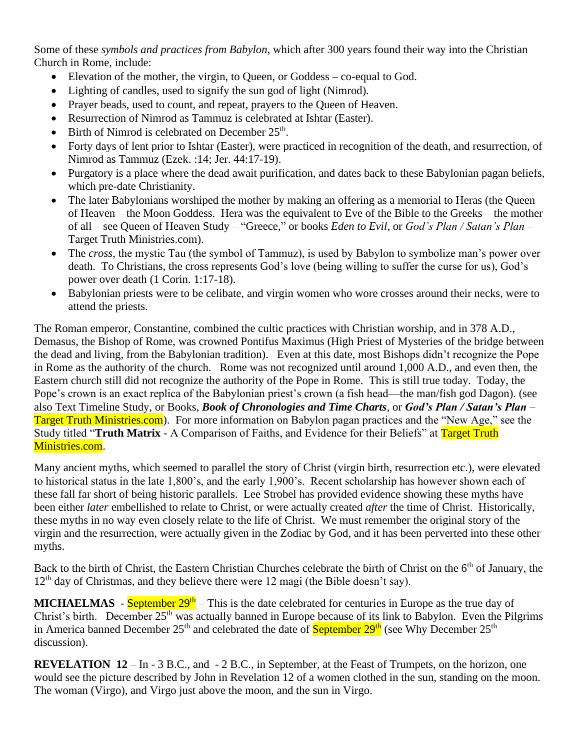Some of these *symbols and practices from Babylon*, which after 300 years found their way into the Christian Church in Rome, include:

- Elevation of the mother, the virgin, to Queen, or Goddess co-equal to God.
- Lighting of candles, used to signify the sun god of light (Nimrod).
- Prayer beads, used to count, and repeat, prayers to the Queen of Heaven.
- Resurrection of Nimrod as Tammuz is celebrated at Ishtar (Easter).
- Birth of Nimrod is celebrated on December  $25<sup>th</sup>$ .
- Forty days of lent prior to Ishtar (Easter), were practiced in recognition of the death, and resurrection, of Nimrod as Tammuz (Ezek. :14; Jer. 44:17-19).
- Purgatory is a place where the dead await purification, and dates back to these Babylonian pagan beliefs, which pre-date Christianity.
- The later Babylonians worshiped the mother by making an offering as a memorial to Heras (the Queen of Heaven – the Moon Goddess. Hera was the equivalent to Eve of the Bible to the Greeks – the mother of all – see Queen of Heaven Study – "Greece," or books *Eden to Evil*, or *God's Plan / Satan's Plan* – Target Truth Ministries.com).
- The *cross*, the mystic Tau (the symbol of Tammuz), is used by Babylon to symbolize man's power over death. To Christians, the cross represents God's love (being willing to suffer the curse for us), God's power over death (1 Corin. 1:17-18).
- Babylonian priests were to be celibate, and virgin women who wore crosses around their necks, were to attend the priests.

The Roman emperor, Constantine, combined the cultic practices with Christian worship, and in 378 A.D., Demasus, the Bishop of Rome, was crowned Pontifus Maximus (High Priest of Mysteries of the bridge between the dead and living, from the Babylonian tradition). Even at this date, most Bishops didn't recognize the Pope in Rome as the authority of the church. Rome was not recognized until around 1,000 A.D., and even then, the Eastern church still did not recognize the authority of the Pope in Rome. This is still true today. Today, the Pope's crown is an exact replica of the Babylonian priest's crown (a fish head—the man/fish god Dagon). (see also Text Timeline Study, or Books, *Book of Chronologies and Time Charts*, or *God's Plan / Satan's Plan* – Target Truth Ministries.com). For more information on Babylon pagan practices and the "New Age," see the Study titled "**Truth Matrix** - A Comparison of Faiths, and Evidence for their Beliefs" at Target Truth Ministries.com.

Many ancient myths, which seemed to parallel the story of Christ (virgin birth, resurrection etc.), were elevated to historical status in the late 1,800's, and the early 1,900's. Recent scholarship has however shown each of these fall far short of being historic parallels. Lee Strobel has provided evidence showing these myths have been either *later* embellished to relate to Christ, or were actually created *after* the time of Christ. Historically, these myths in no way even closely relate to the life of Christ. We must remember the original story of the virgin and the resurrection, were actually given in the Zodiac by God, and it has been perverted into these other myths.

Back to the birth of Christ, the Eastern Christian Churches celebrate the birth of Christ on the 6<sup>th</sup> of January, the  $12<sup>th</sup>$  day of Christmas, and they believe there were 12 magi (the Bible doesn't say).

**MICHAELMAS** - **September 29<sup>th</sup>** – This is the date celebrated for centuries in Europe as the true day of Christ's birth. December 25<sup>th</sup> was actually banned in Europe because of its link to Babylon. Even the Pilgrims in America banned December  $25<sup>th</sup>$  and celebrated the date of September  $29<sup>th</sup>$  (see Why December  $25<sup>th</sup>$ discussion).

**REVELATION 12** – In - 3 B.C., and - 2 B.C., in September, at the Feast of Trumpets, on the horizon, one would see the picture described by John in Revelation 12 of a women clothed in the sun, standing on the moon. The woman (Virgo), and Virgo just above the moon, and the sun in Virgo.